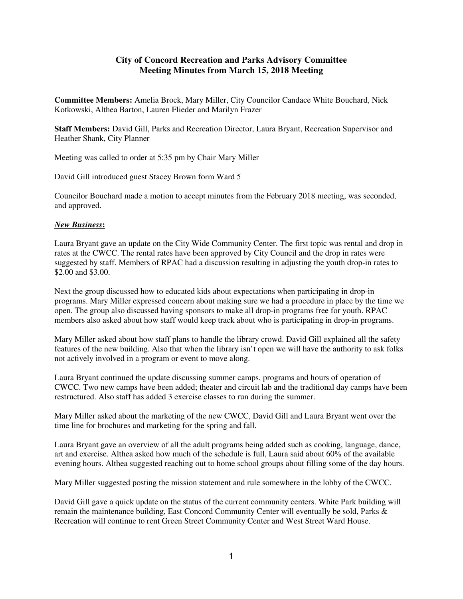## **City of Concord Recreation and Parks Advisory Committee Meeting Minutes from March 15, 2018 Meeting**

**Committee Members:** Amelia Brock, Mary Miller, City Councilor Candace White Bouchard, Nick Kotkowski, Althea Barton, Lauren Flieder and Marilyn Frazer

**Staff Members:** David Gill, Parks and Recreation Director, Laura Bryant, Recreation Supervisor and Heather Shank, City Planner

Meeting was called to order at 5:35 pm by Chair Mary Miller

David Gill introduced guest Stacey Brown form Ward 5

Councilor Bouchard made a motion to accept minutes from the February 2018 meeting, was seconded, and approved.

## *New Business***:**

Laura Bryant gave an update on the City Wide Community Center. The first topic was rental and drop in rates at the CWCC. The rental rates have been approved by City Council and the drop in rates were suggested by staff. Members of RPAC had a discussion resulting in adjusting the youth drop-in rates to \$2.00 and \$3.00.

Next the group discussed how to educated kids about expectations when participating in drop-in programs. Mary Miller expressed concern about making sure we had a procedure in place by the time we open. The group also discussed having sponsors to make all drop-in programs free for youth. RPAC members also asked about how staff would keep track about who is participating in drop-in programs.

Mary Miller asked about how staff plans to handle the library crowd. David Gill explained all the safety features of the new building. Also that when the library isn't open we will have the authority to ask folks not actively involved in a program or event to move along.

Laura Bryant continued the update discussing summer camps, programs and hours of operation of CWCC. Two new camps have been added; theater and circuit lab and the traditional day camps have been restructured. Also staff has added 3 exercise classes to run during the summer.

Mary Miller asked about the marketing of the new CWCC, David Gill and Laura Bryant went over the time line for brochures and marketing for the spring and fall.

Laura Bryant gave an overview of all the adult programs being added such as cooking, language, dance, art and exercise. Althea asked how much of the schedule is full, Laura said about 60% of the available evening hours. Althea suggested reaching out to home school groups about filling some of the day hours.

Mary Miller suggested posting the mission statement and rule somewhere in the lobby of the CWCC.

David Gill gave a quick update on the status of the current community centers. White Park building will remain the maintenance building, East Concord Community Center will eventually be sold, Parks & Recreation will continue to rent Green Street Community Center and West Street Ward House.